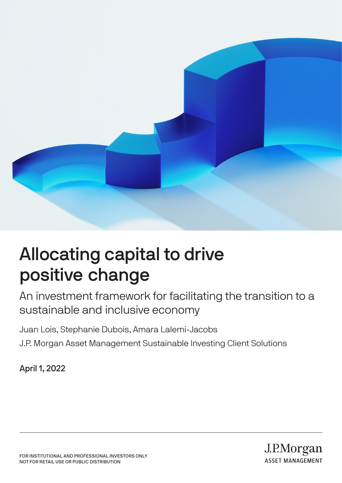

# Allocating capital to drive positive change

An investment framework for facilitating the transition to a sustainable and inclusive economy

Juan Lois, Stephanie Dubois, Amara Lalemi-Jacobs J.P. Morgan Asset Management Sustainable Investing Client Solutions

April 1, 2022

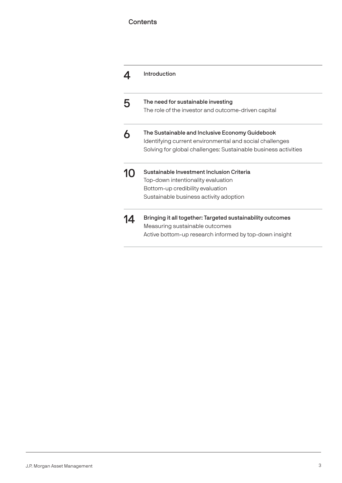### **Contents**

|                  | Introduction                                                                                                                                                                 |
|------------------|------------------------------------------------------------------------------------------------------------------------------------------------------------------------------|
|                  | The need for sustainable investing<br>The role of the investor and outcome-driven capital                                                                                    |
|                  | The Sustainable and Inclusive Economy Guidebook<br>Identifying current environmental and social challenges<br>Solving for global challenges: Sustainable business activities |
| IO.              | Sustainable Investment Inclusion Criteria<br>Top-down intentionality evaluation<br>Bottom-up credibility evaluation<br>Sustainable business activity adoption                |
| $\blacktriangle$ | Bringing it all together: Targeted sustainability outcomes<br>Measuring sustainable outcomes<br>Active bottom-up research informed by top-down insight                       |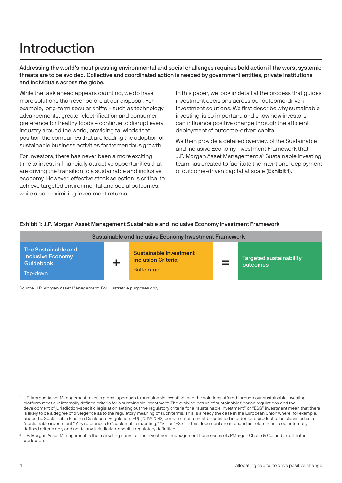# Introduction

Addressing the world's most pressing environmental and social challenges requires bold action if the worst systemic threats are to be avoided. Collective and coordinated action is needed by government entities, private institutions and individuals across the globe.

While the task ahead appears daunting, we do have more solutions than ever before at our disposal. For example, long-term secular shifts – such as technology advancements, greater electrification and consumer preference for healthy foods – continue to disrupt every industry around the world, providing tailwinds that position the companies that are leading the adoption of sustainable business activities for tremendous growth.

For investors, there has never been a more exciting time to invest in financially attractive opportunities that are driving the transition to a sustainable and inclusive economy. However, effective stock selection is critical to achieve targeted environmental and social outcomes, while also maximizing investment returns.

In this paper, we look in detail at the process that guides investment decisions across our outcome-driven investment solutions. We first describe why sustainable investing<sup>1</sup> is so important, and show how investors can influence positive change through the efficient deployment of outcome-driven capital.

We then provide a detailed overview of the Sustainable and Inclusive Economy Investment Framework that J.P. Morgan Asset Management's<sup>2</sup> Sustainable Investing team has created to facilitate the intentional deployment of outcome-driven capital at scale (Exhibit 1).

### Exhibit 1: J.P. Morgan Asset Management Sustainable and Inclusive Economy Investment Framework



<sup>1</sup> J.P. Morgan Asset Management takes a global approach to sustainable investing, and the solutions offered through our sustainable investing platform meet our internally defined criteria for a sustainable investment. The evolving nature of sustainable finance regulations and the development of jurisdiction-specific legislation setting out the regulatory criteria for a "sustainable investment" or "ESG" investment mean that there is likely to be a degree of divergence as to the regulatory meaning of such terms. This is already the case in the European Union where, for example, under the Sustainable Finance Disclosure Regulation (EU) (2019/2088) certain criteria must be satisfied in order for a product to be classified as a "sustainable investment." Any references to "sustainable investing," "SI" or "ESG" in this document are intended as references to our internally defined criteria only and not to any jurisdiction-specific regulatory definition.

 $2$  J.P. Morgan Asset Management is the marketing name for the investment management businesses of JPMorgan Chase & Co. and its affiliates worldwide.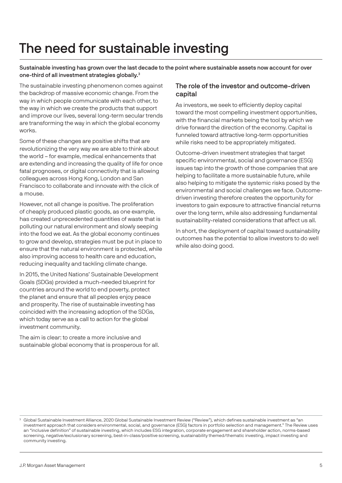# The need for sustainable investing

Sustainable investing has grown over the last decade to the point where sustainable assets now account for over one-third of all investment strategies globally.<sup>3</sup>

The sustainable investing phenomenon comes against the backdrop of massive economic change. From the way in which people communicate with each other, to the way in which we create the products that support and improve our lives, several long-term secular trends are transforming the way in which the global economy works.

Some of these changes are positive shifts that are revolutionizing the very way we are able to think about the world – for example, medical enhancements that are extending and increasing the quality of life for once fatal prognoses, or digital connectivity that is allowing colleagues across Hong Kong, London and San Francisco to collaborate and innovate with the click of a mouse.

However, not all change is positive. The proliferation of cheaply produced plastic goods, as one example, has created unprecedented quantities of waste that is polluting our natural environment and slowly seeping into the food we eat. As the global economy continues to grow and develop, strategies must be put in place to ensure that the natural environment is protected, while also improving access to health care and education, reducing inequality and tackling climate change.

In 2015, the United Nations' Sustainable Development Goals (SDGs) provided a much-needed blueprint for countries around the world to end poverty, protect the planet and ensure that all peoples enjoy peace and prosperity. The rise of sustainable investing has coincided with the increasing adoption of the SDGs, which today serve as a call to action for the global investment community.

The aim is clear: to create a more inclusive and sustainable global economy that is prosperous for all.

### The role of the investor and outcome-driven capital

As investors, we seek to efficiently deploy capital toward the most compelling investment opportunities, with the financial markets being the tool by which we drive forward the direction of the economy. Capital is funneled toward attractive long-term opportunities while risks need to be appropriately mitigated.

Outcome-driven investment strategies that target specific environmental, social and governance (ESG) issues tap into the growth of those companies that are helping to facilitate a more sustainable future, while also helping to mitigate the systemic risks posed by the environmental and social challenges we face. Outcomedriven investing therefore creates the opportunity for investors to gain exposure to attractive financial returns over the long term, while also addressing fundamental sustainability-related considerations that affect us all.

In short, the deployment of capital toward sustainability outcomes has the potential to allow investors to do well while also doing good.

<sup>&</sup>lt;sup>3</sup> Global Sustainable Investment Alliance, 2020 Global Sustainable Investment Review ("Review"), which defines sustainable investment as "an investment approach that considers environmental, social, and governance (ESG) factors in portfolio selection and management." The Review uses an "inclusive definition" of sustainable investing, which includes ESG integration, corporate engagement and shareholder action, norms-based screening, negative/exclusionary screening, best-in-class/positive screening, sustainability themed/thematic investing, impact investing and community investing.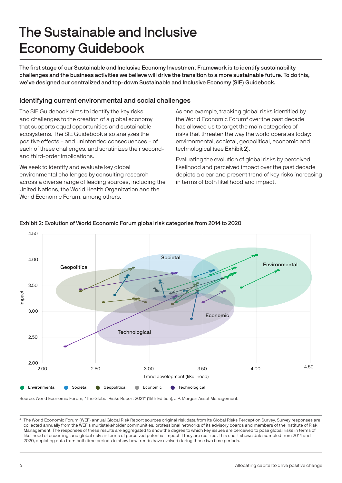# The Sustainable and Inclusive Economy Guidebook

The first stage of our Sustainable and Inclusive Economy Investment Framework is to identify sustainability challenges and the business activities we believe will drive the transition to a more sustainable future. To do this, we've designed our centralized and top-down Sustainable and Inclusive Economy (SIE) Guidebook.

### Identifying current environmental and social challenges

The SIE Guidebook aims to identify the key risks and challenges to the creation of a global economy that supports equal opportunities and sustainable ecosystems. The SIE Guidebook also analyzes the positive effects – and unintended consequences – of each of these challenges, and scrutinizes their secondand third-order implications.

We seek to identify and evaluate key global environmental challenges by consulting research across a diverse range of leading sources, including the United Nations, the World Health Organization and the World Economic Forum, among others.

As one example, tracking global risks identified by the World Economic Forum<sup>4</sup> over the past decade has allowed us to target the main categories of risks that threaten the way the world operates today: environmental, societal, geopolitical, economic and technological (see Exhibit 2).

Evaluating the evolution of global risks by perceived likelihood and perceived impact over the past decade depicts a clear and present trend of key risks increasing in terms of both likelihood and impact.



### Exhibit 2: Evolution of World Economic Forum global risk categories from 2014 to 2020

Source: World Economic Forum, "The Global Risks Report 2021" (16th Edition), J.P. Morgan Asset Management.

<sup>4</sup> The World Economic Forum (WEF) annual Global Risk Report sources original risk data from its Global Risks Perception Survey. Survey responses are collected annually from the WEF's multistakeholder communities, professional networks of its advisory boards and members of the Institute of Risk Management. The responses of these results are aggregated to show the degree to which key issues are perceived to pose global risks in terms of likelihood of occurring, and global risks in terms of perceived potential impact if they are realized. This chart shows data sampled from 2014 and 2020, depicting data from both time periods to show how trends have evolved during those two time periods.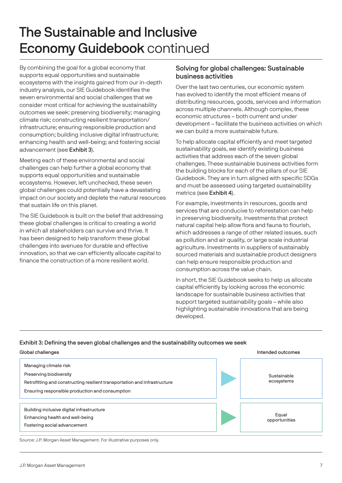# The Sustainable and Inclusive Economy Guidebook continued

By combining the goal for a global economy that supports equal opportunities and sustainable ecosystems with the insights gained from our in-depth industry analysis, our SIE Guidebook identifies the seven environmental and social challenges that we consider most critical for achieving the sustainability outcomes we seek: preserving biodiversity; managing climate risk; constructing resilient transportation/ infrastructure; ensuring responsible production and consumption; building inclusive digital infrastructure; enhancing health and well-being; and fostering social advancement (see Exhibit 3).

Meeting each of these environmental and social challenges can help further a global economy that supports equal opportunities and sustainable ecosystems. However, left unchecked, these seven global challenges could potentially have a devastating impact on our society and deplete the natural resources that sustain life on this planet.

The SIE Guidebook is built on the belief that addressing these global challenges is critical to creating a world in which all stakeholders can survive and thrive. It has been designed to help transform these global challenges into avenues for durable and effective innovation, so that we can efficiently allocate capital to finance the construction of a more resilient world.

### Solving for global challenges: Sustainable business activities

Over the last two centuries, our economic system has evolved to identify the most efficient means of distributing resources, goods, services and information across multiple channels. Although complex, these economic structures – both current and under development – facilitate the business activities on which we can build a more sustainable future.

To help allocate capital efficiently and meet targeted sustainability goals, we identify existing business activities that address each of the seven global challenges. These sustainable business activities form the building blocks for each of the pillars of our SIE Guidebook. They are in turn aligned with specific SDGs and must be assessed using targeted sustainability metrics (see Exhibit 4).

For example, investments in resources, goods and services that are conducive to reforestation can help in preserving biodiversity. Investments that protect natural capital help allow flora and fauna to flourish, which addresses a range of other related issues, such as pollution and air quality, or large scale industrial agriculture. Investments in suppliers of sustainably sourced materials and sustainable product designers can help ensure responsible production and consumption across the value chain.

In short, the SIE Guidebook seeks to help us allocate capital efficiently by looking across the economic landscape for sustainable business activities that support targeted sustainability goals – while also highlighting sustainable innovations that are being developed.

### Exhibit 3: Defining the seven global challenges and the sustainability outcomes we seek

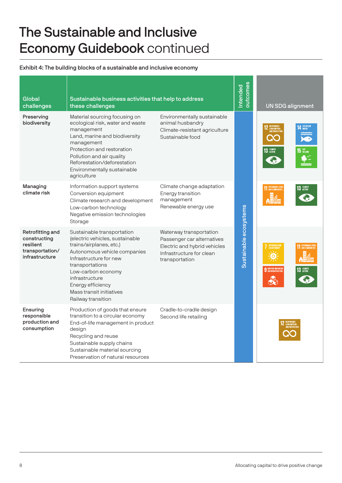# The Sustainable and Inclusive Economy Guidebook continued

### Exhibit 4: The building blocks of a sustainable and inclusive economy

| Global<br>challenges                                                               | Sustainable business activities that help to address<br>these challenges                                                                                                                                                                                                             |                                                                                                                                     | putcomes<br>Intended   | <b>UN SDG alignment</b>                                        |                                       |
|------------------------------------------------------------------------------------|--------------------------------------------------------------------------------------------------------------------------------------------------------------------------------------------------------------------------------------------------------------------------------------|-------------------------------------------------------------------------------------------------------------------------------------|------------------------|----------------------------------------------------------------|---------------------------------------|
| Preserving<br>biodiversity                                                         | Material sourcing focusing on<br>ecological risk, water and waste<br>management<br>Land, marine and biodiversity<br>management<br>Protection and restoration<br>Pollution and air quality<br>Reforestation/deforestation<br>Environmentally sustainable<br>agriculture               | Environmentally sustainable<br>animal husbandry<br>Climate-resistant agriculture<br>Sustainable food                                |                        | 13 GLIMATE                                                     | <b>14 LIFE BELOW</b><br><b>15 UFE</b> |
| Managing<br>climate risk                                                           | Information support systems<br>Conversion equipment<br>Climate research and development<br>Low-carbon technology<br>Negative emission technologies<br>Storage                                                                                                                        | Climate change adaptation<br>Energy transition<br>management<br>Renewable energy use                                                |                        | <b>11 SUSTAINABLE CITIES</b>                                   | 13 GUMATE                             |
| Retrofitting and<br>constructing<br>resilient<br>transportation/<br>infrastructure | Sustainable transportation<br>(electric vehicles, sustainable<br>trains/airplanes, etc.)<br>Autonomous vehicle companies<br>Infrastructure for new<br>transportations<br>Low-carbon economy<br>infrastructure<br>Energy efficiency<br>Mass transit initiatives<br>Railway transition | Waterway transportation<br>Passenger car alternatives<br>Electric and hybrid vehicles<br>Infrastructure for clean<br>transportation | Sustainable ecosystems | AFFORDABLE AN<br>CLEAN ENERGY<br><b>9 INDUSTRY, INNOVATION</b> | 13 GLIMATE                            |
| Ensuring<br>responsible<br>production and<br>consumption                           | Production of goods that ensure<br>transition to a circular economy<br>End-of-life management in product<br>design<br>Recycling and reuse<br>Sustainable supply chains<br>Sustainable material sourcing<br>Preservation of natural resources                                         | Cradle-to-cradle design<br>Second life retailing                                                                                    |                        |                                                                |                                       |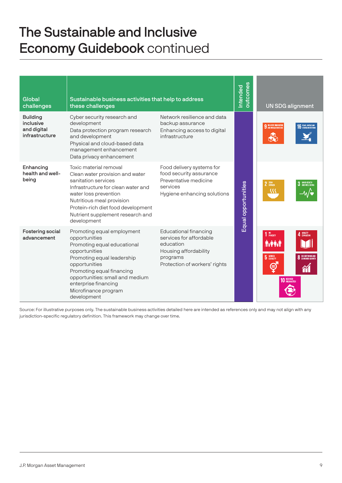# The Sustainable and Inclusive Economy Guidebook continued

| Global<br>challenges                                          | Sustainable business activities that help to address<br>these challenges                                                                                                                                                                                                  |                                                                                                                                            |                     | <b>UN SDG alignment</b>                                                                                                |
|---------------------------------------------------------------|---------------------------------------------------------------------------------------------------------------------------------------------------------------------------------------------------------------------------------------------------------------------------|--------------------------------------------------------------------------------------------------------------------------------------------|---------------------|------------------------------------------------------------------------------------------------------------------------|
| <b>Building</b><br>inclusive<br>and digital<br>infrastructure | Cyber security research and<br>development<br>Data protection program research<br>and development<br>Physical and cloud-based data<br>management enhancement<br>Data privacy enhancement                                                                                  | Network resilience and data<br>backup assurance<br>Enhancing access to digital<br>infrastructure                                           |                     | <b>9</b> INDUSTRY, INNOVATION<br><b>C</b> PEACE JUSTICE AN                                                             |
| Enhancing<br>health and well-<br>being                        | Toxic material removal<br>Clean water provision and water<br>sanitation services<br>Infrastructure for clean water and<br>water loss prevention<br>Nutritious meal provision<br>Protein-rich diet food development<br>Nutrient supplement research and<br>development     | Food delivery systems for<br>food security assurance<br>Preventative medicine<br>services<br>Hygiene enhancing solutions                   | Equal opportunities | 2 ZERO<br>3 GOOD HEALTH<br>32                                                                                          |
| Fostering social<br>advancement                               | Promoting equal employment<br>opportunities<br>Promoting equal educational<br>opportunities<br>Promoting equal leadership<br>opportunities<br>Promoting equal financing<br>opportunities: small and medium<br>enterprise financing<br>Microfinance program<br>development | <b>Educational financing</b><br>services for affordable<br>education<br>Housing affordability<br>programs<br>Protection of workers' rights |                     | $110$ POVERTY<br>QUALITY<br>Educatio<br><b>TYPR:I</b><br>5 GENDER<br><b>8</b> DECENT WORK AN<br>Θ<br><b>10 REDUCED</b> |

Source: For illustrative purposes only. The sustainable business activities detailed here are intended as references only and may not align with any jurisdiction-specific regulatory definition. This framework may change over time.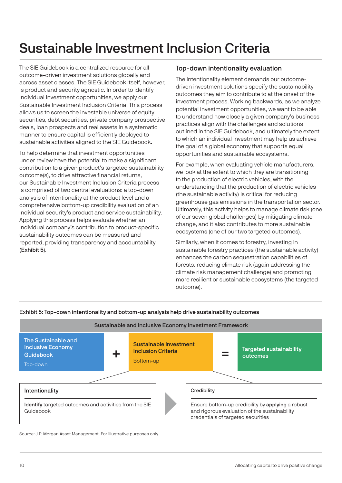# Sustainable Investment Inclusion Criteria

The SIE Guidebook is a centralized resource for all outcome-driven investment solutions globally and across asset classes. The SIE Guidebook itself, however, is product and security agnostic. In order to identify individual investment opportunities, we apply our Sustainable Investment Inclusion Criteria. This process allows us to screen the investable universe of equity securities, debt securities, private company prospective deals, loan prospects and real assets in a systematic manner to ensure capital is efficiently deployed to sustainable activities aligned to the SIE Guidebook.

To help determine that investment opportunities under review have the potential to make a significant contribution to a given product's targeted sustainability outcome(s), to drive attractive financial returns, our Sustainable Investment Inclusion Criteria process is comprised of two central evaluations: a top-down analysis of intentionality at the product level and a comprehensive bottom-up credibility evaluation of an individual security's product and service sustainability. Applying this process helps evaluate whether an individual company's contribution to product-specific sustainability outcomes can be measured and reported, providing transparency and accountability (Exhibit 5).

### Top-down intentionality evaluation

The intentionality element demands our outcomedriven investment solutions specify the sustainability outcomes they aim to contribute to at the onset of the investment process. Working backwards, as we analyze potential investment opportunities, we want to be able to understand how closely a given company's business practices align with the challenges and solutions outlined in the SIE Guidebook, and ultimately the extent to which an individual investment may help us achieve the goal of a global economy that supports equal opportunities and sustainable ecosystems.

For example, when evaluating vehicle manufacturers, we look at the extent to which they are transitioning to the production of electric vehicles, with the understanding that the production of electric vehicles (the sustainable activity) is critical for reducing greenhouse gas emissions in the transportation sector. Ultimately, this activity helps to manage climate risk (one of our seven global challenges) by mitigating climate change, and it also contributes to more sustainable ecosystems (one of our two targeted outcomes).

Similarly, when it comes to forestry, investing in sustainable forestry practices (the sustainable activity) enhances the carbon sequestration capabilities of forests, reducing climate risk (again addressing the climate risk management challenge) and promoting more resilient or sustainable ecosystems (the targeted outcome).

### Exhibit 5: Top-down intentionality and bottom-up analysis help drive sustainability outcomes

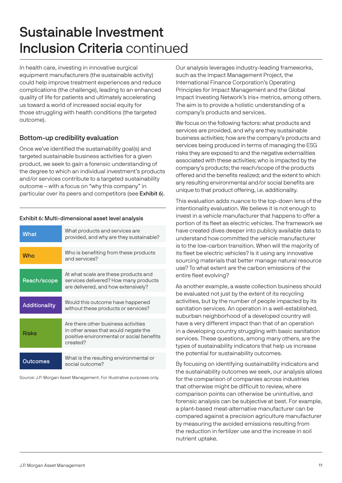# Sustainable Investment Inclusion Criteria continued

In health care, investing in innovative surgical equipment manufacturers (the sustainable activity) could help improve treatment experiences and reduce complications (the challenge), leading to an enhanced quality of life for patients and ultimately accelerating us toward a world of increased social equity for those struggling with health conditions (the targeted outcome).

### Bottom-up credibility evaluation

Once we've identified the sustainability goal(s) and targeted sustainable business activities for a given product, we seek to gain a forensic understanding of the degree to which an individual investment's products and/or services contribute to a targeted sustainability outcome – with a focus on "why this company" in particular over its peers and competitors (see Exhibit 6).

### Exhibit 6: Multi-dimensional asset level analysis

| What          | What products and services are<br>provided, and why are they sustainable?                                                            |
|---------------|--------------------------------------------------------------------------------------------------------------------------------------|
| <b>Who</b>    | Who is benefiting from these products<br>and services?                                                                               |
| Reach/scope   | At what scale are these products and<br>services delivered? How many products<br>are delivered, and how extensively?                 |
| Additionality | Would this outcome have happened<br>without these products or services?                                                              |
| Risks         | Are there other business activities<br>in other areas that would negate the<br>positive environmental or social benefits<br>created? |
|               |                                                                                                                                      |
| Outcomes      | What is the resulting environmental or<br>social outcome?                                                                            |

Source: J.P. Morgan Asset Management. For illustrative purposes only.

Our analysis leverages industry-leading frameworks, such as the Impact Management Project, the International Finance Corporation's Operating Principles for Impact Management and the Global Impact Investing Network's Iris+ metrics, among others. The aim is to provide a holistic understanding of a company's products and services.

We focus on the following factors: what products and services are provided, and why are they sustainable business activities; how are the company's products and services being produced in terms of managing the ESG risks they are exposed to and the negative externalities associated with these activities; who is impacted by the company's products; the reach/scope of the products offered and the benefits realized; and the extent to which any resulting environmental and/or social benefits are unique to that product offering, i.e. additionality.

This evaluation adds nuance to the top-down lens of the intentionality evaluation. We believe it is not enough to invest in a vehicle manufacturer that happens to offer a portion of its fleet as electric vehicles. The framework we have created dives deeper into publicly available data to understand how committed the vehicle manufacturer is to the low-carbon transition. When will the majority of its fleet be electric vehicles? Is it using any innovative sourcing materials that better manage natural resource use? To what extent are the carbon emissions of the entire fleet evolving?

As another example, a waste collection business should be evaluated not just by the extent of its recycling activities, but by the number of people impacted by its sanitation services. An operation in a well-established, suburban neighborhood of a developed country will have a very different impact than that of an operation in a developing country struggling with basic sanitation services. These questions, among many others, are the types of sustainability indicators that help us increase the potential for sustainability outcomes.

By focusing on identifying sustainability indicators and the sustainability outcomes we seek, our analysis allows for the comparison of companies across industries that otherwise might be difficult to review, where comparison points can otherwise be unintuitive, and forensic analysis can be subjective at best. For example, a plant-based meat-alternative manufacturer can be compared against a precision agriculture manufacturer by measuring the avoided emissions resulting from the reduction in fertilizer use and the increase in soil nutrient uptake.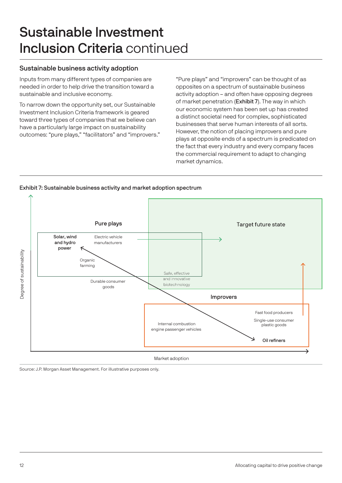# Sustainable Investment Inclusion Criteria continued

### Sustainable business activity adoption

Inputs from many different types of companies are needed in order to help drive the transition toward a sustainable and inclusive economy.

To narrow down the opportunity set, our Sustainable Investment Inclusion Criteria framework is geared toward three types of companies that we believe can have a particularly large impact on sustainability outcomes: "pure plays," "facilitators" and "improvers." "Pure plays" and "improvers" can be thought of as opposites on a spectrum of sustainable business activity adoption – and often have opposing degrees of market penetration (Exhibit 7). The way in which our economic system has been set up has created a distinct societal need for complex, sophisticated businesses that serve human interests of all sorts. However, the notion of placing improvers and pure plays at opposite ends of a spectrum is predicated on the fact that every industry and every company faces the commercial requirement to adapt to changing market dynamics.



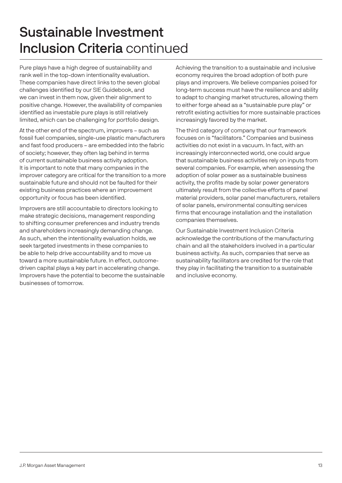# Sustainable Investment Inclusion Criteria continued

Pure plays have a high degree of sustainability and rank well in the top-down intentionality evaluation. These companies have direct links to the seven global challenges identified by our SIE Guidebook, and we can invest in them now, given their alignment to positive change. However, the availability of companies identified as investable pure plays is still relatively limited, which can be challenging for portfolio design.

At the other end of the spectrum, improvers – such as fossil fuel companies, single-use plastic manufacturers and fast food producers – are embedded into the fabric of society; however, they often lag behind in terms of current sustainable business activity adoption. It is important to note that many companies in the improver category are critical for the transition to a more sustainable future and should not be faulted for their existing business practices where an improvement opportunity or focus has been identified.

Improvers are still accountable to directors looking to make strategic decisions, management responding to shifting consumer preferences and industry trends and shareholders increasingly demanding change. As such, when the intentionality evaluation holds, we seek targeted investments in these companies to be able to help drive accountability and to move us toward a more sustainable future. In effect, outcomedriven capital plays a key part in accelerating change. Improvers have the potential to become the sustainable businesses of tomorrow.

Achieving the transition to a sustainable and inclusive economy requires the broad adoption of both pure plays and improvers. We believe companies poised for long-term success must have the resilience and ability to adapt to changing market structures, allowing them to either forge ahead as a "sustainable pure play" or retrofit existing activities for more sustainable practices increasingly favored by the market.

The third category of company that our framework focuses on is "facilitators." Companies and business activities do not exist in a vacuum. In fact, with an increasingly interconnected world, one could argue that sustainable business activities rely on inputs from several companies. For example, when assessing the adoption of solar power as a sustainable business activity, the profits made by solar power generators ultimately result from the collective efforts of panel material providers, solar panel manufacturers, retailers of solar panels, environmental consulting services firms that encourage installation and the installation companies themselves.

Our Sustainable Investment Inclusion Criteria acknowledge the contributions of the manufacturing chain and all the stakeholders involved in a particular business activity. As such, companies that serve as sustainability facilitators are credited for the role that they play in facilitating the transition to a sustainable and inclusive economy.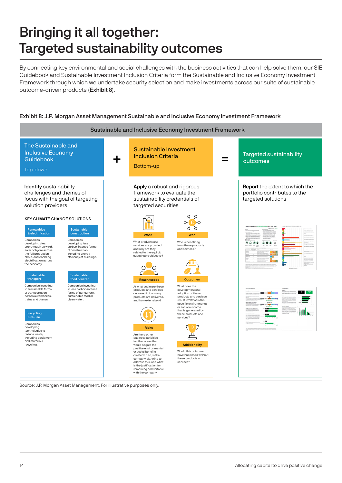# Bringing it all together: Targeted sustainability outcomes

By connecting key environmental and social challenges with the business activities that can help solve them, our SIE Guidebook and Sustainable Investment Inclusion Criteria form the Sustainable and Inclusive Economy Investment Framework through which we undertake security selection and make investments across our suite of sustainable outcome-driven products (Exhibit 8).

#### Exhibit 8: J.P. Morgan Asset Management Sustainable and Inclusive Economy Investment Framework Sustainable and Inclusive Economy Investment Framework The Sustainable and Sustainable Investment Inclusive Economy **Inclusion Criteria** Targeted sustainability + Guidebook = outcomes Bottom-up Top-down Identify sustainability Apply a robust and rigorous Report the extent to which the challenges and themes of framework to evaluate the portfolio contributes to the focus with the goal of targeting sustainability credentials of targeted solutions solution providers targeted securities  $Q \rho$ KEY CLIMATE CHANGE SOLUTIONS  $O(E-O$ Renewables & electrification Sustainable construction What Who **Companies** Companies developing clean What products and Who is benefiting developing less  $0.0000000$ services are provided, from these products energy such as wind, carbon-intense forms and why are they and services? solar or hydro across of construction, related to the explicit sustainable objective? the full production chain, and enabling including energy<br>efficiency of buildings. electrification acro the economy.  $\circ$  $\cup_{\bigcirc}$  $\sqrt{2}$  $\overline{C}$ **Sustainable** Sustainable transport food & water Reach/scope Outcomes Companies investing Companies investing What does the At what scale are these in sustainable forms in less carbon-intense products and services development and adoption of these products and services **1999** of transportation across automobiles, trains and planes. forms of agriculture, sustainable food or clean water. delivered? How many products are delivered, and how extensively? result in? What is the specific environmental or social outcome that is generated by these products and ailt. Recycling & re-use services? **Companies**  $\circ$  J developing Risks technologies to reduce waste, including equipment and materials Are there other 凸 business activities in other areas that Additionality recycling. would negate the positive environmental Would this outcome or social benefits created? If so, is the have happened without company planning to address this, and what these products or services? is the justification for remaining comfortable with the company.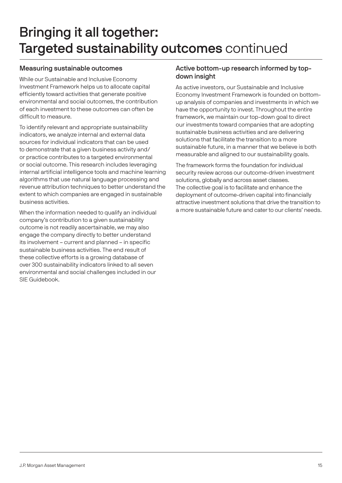# Bringing it all together: Targeted sustainability outcomes continued

### Measuring sustainable outcomes

While our Sustainable and Inclusive Economy Investment Framework helps us to allocate capital efficiently toward activities that generate positive environmental and social outcomes, the contribution of each investment to these outcomes can often be difficult to measure.

To identify relevant and appropriate sustainability indicators, we analyze internal and external data sources for individual indicators that can be used to demonstrate that a given business activity and/ or practice contributes to a targeted environmental or social outcome. This research includes leveraging internal artificial intelligence tools and machine learning algorithms that use natural language processing and revenue attribution techniques to better understand the extent to which companies are engaged in sustainable business activities.

When the information needed to qualify an individual company's contribution to a given sustainability outcome is not readily ascertainable, we may also engage the company directly to better understand its involvement – current and planned – in specific sustainable business activities. The end result of these collective efforts is a growing database of over 300 sustainability indicators linked to all seven environmental and social challenges included in our SIE Guidebook.

### Active bottom-up research informed by topdown insight

As active investors, our Sustainable and Inclusive Economy Investment Framework is founded on bottomup analysis of companies and investments in which we have the opportunity to invest. Throughout the entire framework, we maintain our top-down goal to direct our investments toward companies that are adopting sustainable business activities and are delivering solutions that facilitate the transition to a more sustainable future, in a manner that we believe is both measurable and aligned to our sustainability goals.

The framework forms the foundation for individual security review across our outcome-driven investment solutions, globally and across asset classes. The collective goal is to facilitate and enhance the deployment of outcome-driven capital into financially attractive investment solutions that drive the transition to a more sustainable future and cater to our clients' needs.